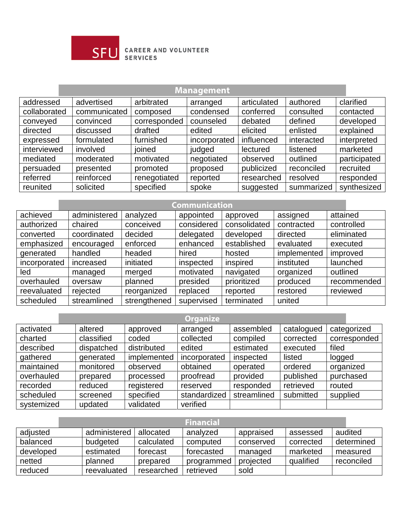

## **SFU** CAREER AND VOLUNTEER

## **Management**

| addressed    | advertised   | arbitrated   | arranged     | articulated | authored   | clarified    |
|--------------|--------------|--------------|--------------|-------------|------------|--------------|
| collaborated | communicated | composed     | condensed    | conferred   | consulted  | contacted    |
| conveyed     | convinced    | corresponded | counseled    | debated     | defined    | developed    |
| directed     | discussed    | drafted      | edited       | elicited    | enlisted   | explained    |
| expressed    | formulated   | furnished    | incorporated | influenced  | interacted | interpreted  |
| interviewed  | involved     | ioined       | judged       | lectured    | listened   | marketed     |
| mediated     | moderated    | motivated    | negotiated   | observed    | outlined   | participated |
| persuaded    | presented    | promoted     | proposed     | publicized  | reconciled | recruited    |
| referred     | reinforced   | renegotiated | reported     | researched  | resolved   | responded    |
| reunited     | solicited    | specified    | spoke        | suggested   | summarized | synthesized  |

## **Communication**

| achieved     | administered | analyzed     | appointed  | approved     | assigned    | attained    |
|--------------|--------------|--------------|------------|--------------|-------------|-------------|
| authorized   | chaired      | conceived    | considered | consolidated | contracted  | controlled  |
| converted    | coordinated  | decided      | delegated  | developed    | directed    | eliminated  |
| emphasized   | encouraged   | enforced     | enhanced   | established  | evaluated   | executed    |
| generated    | handled      | headed       | hired      | hosted       | implemented | improved    |
| incorporated | increased    | initiated    | inspected  | inspired     | instituted  | launched    |
| led          | managed      | merged       | motivated  | navigated    | organized   | outlined    |
| overhauled   | oversaw      | planned      | presided   | prioritized  | produced    | recommended |
| reevaluated  | rejected     | reorganized  | replaced   | reported     | restored    | reviewed    |
| scheduled    | streamlined  | strengthened | supervised | terminated   | united      |             |

|            |            |             | <b>Organize</b> |             |            |              |
|------------|------------|-------------|-----------------|-------------|------------|--------------|
| activated  | altered    | approved    | arranged        | assembled   | catalogued | categorized  |
| charted    | classified | coded       | collected       | compiled    | corrected  | corresponded |
| described  | dispatched | distributed | edited          | estimated   | executed   | filed        |
| gathered   | generated  | implemented | incorporated    | inspected   | listed     | logged       |
| maintained | monitored  | observed    | obtained        | operated    | ordered    | organized    |
| overhauled | prepared   | processed   | proofread       | provided    | published  | purchased    |
| recorded   | reduced    | registered  | reserved        | responded   | retrieved  | routed       |
| scheduled  | screened   | specified   | standardized    | streamlined | submitted  | supplied     |
| systemized | updated    | validated   | verified        |             |            |              |

|           |              |            | <b>Financial</b> |           |           |            |
|-----------|--------------|------------|------------------|-----------|-----------|------------|
| adjusted  | administered | allocated  | analyzed         | appraised | assessed  | audited    |
| balanced  | budgeted     | calculated | computed         | conserved | corrected | determined |
| developed | estimated    | forecast   | forecasted       | managed   | marketed  | measured   |
| netted    | planned      | prepared   | programmed       | projected | qualified | reconciled |
| reduced   | reevaluated  | researched | retrieved        | sold      |           |            |